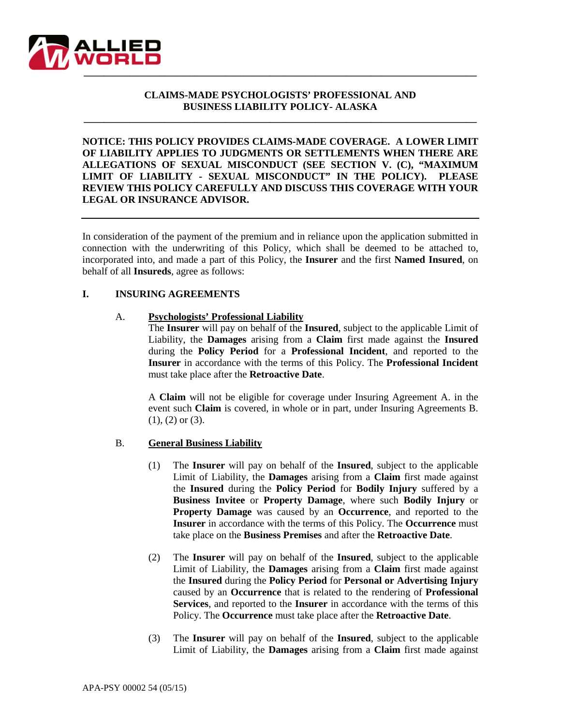

## **CLAIMS-MADE PSYCHOLOGISTS' PROFESSIONAL AND BUSINESS LIABILITY POLICY- ALASKA**

**\_\_\_\_\_\_\_\_\_\_\_\_\_\_\_\_\_\_\_\_\_\_\_\_\_\_\_\_\_\_\_\_\_\_\_\_\_\_\_\_\_\_\_\_\_\_\_\_\_\_\_\_\_\_\_\_\_\_\_\_\_\_\_\_\_\_\_\_\_\_\_\_\_\_\_\_\_\_**

**NOTICE: THIS POLICY PROVIDES CLAIMS-MADE COVERAGE. A LOWER LIMIT OF LIABILITY APPLIES TO JUDGMENTS OR SETTLEMENTS WHEN THERE ARE ALLEGATIONS OF SEXUAL MISCONDUCT (SEE SECTION V. (C), "MAXIMUM LIMIT OF LIABILITY - SEXUAL MISCONDUCT" IN THE POLICY). PLEASE REVIEW THIS POLICY CAREFULLY AND DISCUSS THIS COVERAGE WITH YOUR LEGAL OR INSURANCE ADVISOR.**

In consideration of the payment of the premium and in reliance upon the application submitted in connection with the underwriting of this Policy, which shall be deemed to be attached to, incorporated into, and made a part of this Policy, the **Insurer** and the first **Named Insured**, on behalf of all **Insureds**, agree as follows:

#### **I. INSURING AGREEMENTS**

#### A. **Psychologists' Professional Liability**

The **Insurer** will pay on behalf of the **Insured**, subject to the applicable Limit of Liability, the **Damages** arising from a **Claim** first made against the **Insured** during the **Policy Period** for a **Professional Incident**, and reported to the **Insurer** in accordance with the terms of this Policy. The **Professional Incident** must take place after the **Retroactive Date**.

A **Claim** will not be eligible for coverage under Insuring Agreement A. in the event such **Claim** is covered, in whole or in part, under Insuring Agreements B. (1), (2) or (3).

## B. **General Business Liability**

- (1) The **Insurer** will pay on behalf of the **Insured**, subject to the applicable Limit of Liability, the **Damages** arising from a **Claim** first made against the **Insured** during the **Policy Period** for **Bodily Injury** suffered by a **Business Invitee** or **Property Damage**, where such **Bodily Injury** or **Property Damage** was caused by an **Occurrence**, and reported to the **Insurer** in accordance with the terms of this Policy. The **Occurrence** must take place on the **Business Premises** and after the **Retroactive Date**.
- (2) The **Insurer** will pay on behalf of the **Insured**, subject to the applicable Limit of Liability, the **Damages** arising from a **Claim** first made against the **Insured** during the **Policy Period** for **Personal or Advertising Injury**  caused by an **Occurrence** that is related to the rendering of **Professional Services**, and reported to the **Insurer** in accordance with the terms of this Policy. The **Occurrence** must take place after the **Retroactive Date**.
- (3) The **Insurer** will pay on behalf of the **Insured**, subject to the applicable Limit of Liability, the **Damages** arising from a **Claim** first made against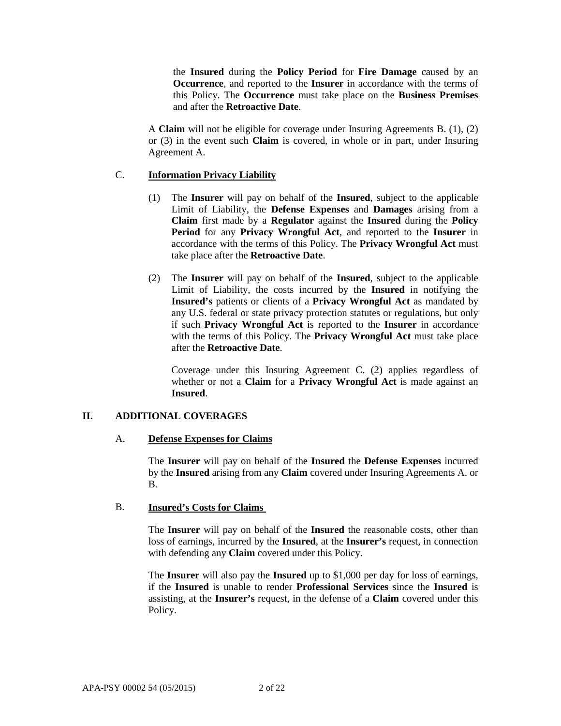the **Insured** during the **Policy Period** for **Fire Damage** caused by an **Occurrence**, and reported to the **Insurer** in accordance with the terms of this Policy. The **Occurrence** must take place on the **Business Premises** and after the **Retroactive Date**.

A **Claim** will not be eligible for coverage under Insuring Agreements B. (1), (2) or (3) in the event such **Claim** is covered, in whole or in part, under Insuring Agreement A.

## C. **Information Privacy Liability**

- (1) The **Insurer** will pay on behalf of the **Insured**, subject to the applicable Limit of Liability, the **Defense Expenses** and **Damages** arising from a **Claim** first made by a **Regulator** against the **Insured** during the **Policy Period** for any **Privacy Wrongful Act**, and reported to the **Insurer** in accordance with the terms of this Policy. The **Privacy Wrongful Act** must take place after the **Retroactive Date**.
- (2) The **Insurer** will pay on behalf of the **Insured**, subject to the applicable Limit of Liability, the costs incurred by the **Insured** in notifying the **Insured's** patients or clients of a **Privacy Wrongful Act** as mandated by any U.S. federal or state privacy protection statutes or regulations, but only if such **Privacy Wrongful Act** is reported to the **Insurer** in accordance with the terms of this Policy. The **Privacy Wrongful Act** must take place after the **Retroactive Date**.

Coverage under this Insuring Agreement C. (2) applies regardless of whether or not a **Claim** for a **Privacy Wrongful Act** is made against an **Insured**.

## **II. ADDITIONAL COVERAGES**

## A. **Defense Expenses for Claims**

The **Insurer** will pay on behalf of the **Insured** the **Defense Expenses** incurred by the **Insured** arising from any **Claim** covered under Insuring Agreements A. or B.

## B. **Insured's Costs for Claims**

The **Insurer** will pay on behalf of the **Insured** the reasonable costs, other than loss of earnings, incurred by the **Insured**, at the **Insurer's** request, in connection with defending any **Claim** covered under this Policy.

The **Insurer** will also pay the **Insured** up to \$1,000 per day for loss of earnings, if the **Insured** is unable to render **Professional Services** since the **Insured** is assisting, at the **Insurer's** request, in the defense of a **Claim** covered under this Policy.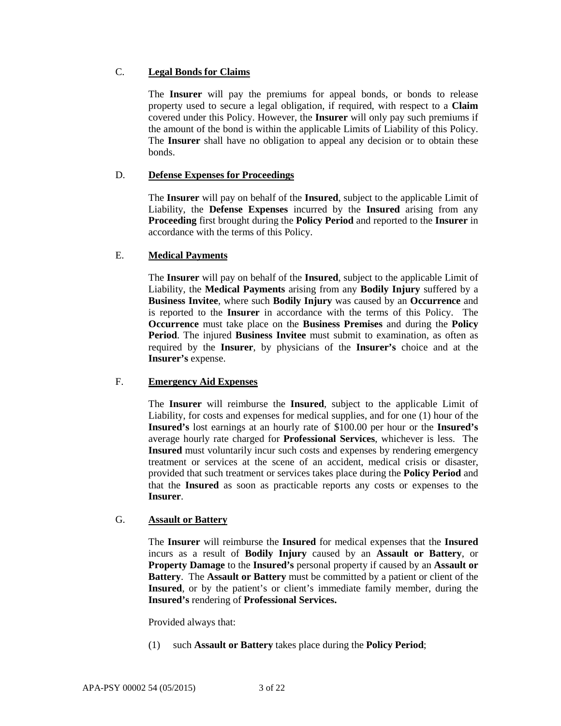# C. **Legal Bonds for Claims**

The **Insurer** will pay the premiums for appeal bonds, or bonds to release property used to secure a legal obligation, if required, with respect to a **Claim** covered under this Policy. However, the **Insurer** will only pay such premiums if the amount of the bond is within the applicable Limits of Liability of this Policy. The **Insurer** shall have no obligation to appeal any decision or to obtain these bonds.

# D. **Defense Expenses for Proceedings**

The **Insurer** will pay on behalf of the **Insured**, subject to the applicable Limit of Liability, the **Defense Expenses** incurred by the **Insured** arising from any **Proceeding** first brought during the **Policy Period** and reported to the **Insurer** in accordance with the terms of this Policy.

# E. **Medical Payments**

The **Insurer** will pay on behalf of the **Insured**, subject to the applicable Limit of Liability, the **Medical Payments** arising from any **Bodily Injury** suffered by a **Business Invitee**, where such **Bodily Injury** was caused by an **Occurrence** and is reported to the **Insurer** in accordance with the terms of this Policy. The **Occurrence** must take place on the **Business Premises** and during the **Policy Period**. The injured **Business Invitee** must submit to examination, as often as required by the **Insurer**, by physicians of the **Insurer's** choice and at the **Insurer's** expense.

# F. **Emergency Aid Expenses**

The **Insurer** will reimburse the **Insured**, subject to the applicable Limit of Liability, for costs and expenses for medical supplies, and for one (1) hour of the **Insured's** lost earnings at an hourly rate of \$100.00 per hour or the **Insured's**  average hourly rate charged for **Professional Services**, whichever is less. The **Insured** must voluntarily incur such costs and expenses by rendering emergency treatment or services at the scene of an accident, medical crisis or disaster, provided that such treatment or services takes place during the **Policy Period** and that the **Insured** as soon as practicable reports any costs or expenses to the **Insurer**.

# G. **Assault or Battery**

The **Insurer** will reimburse the **Insured** for medical expenses that the **Insured** incurs as a result of **Bodily Injury** caused by an **Assault or Battery**, or **Property Damage** to the **Insured's** personal property if caused by an **Assault or Battery**. The **Assault or Battery** must be committed by a patient or client of the **Insured**, or by the patient's or client's immediate family member, during the **Insured's** rendering of **Professional Services.**

Provided always that:

(1) such **Assault or Battery** takes place during the **Policy Period**;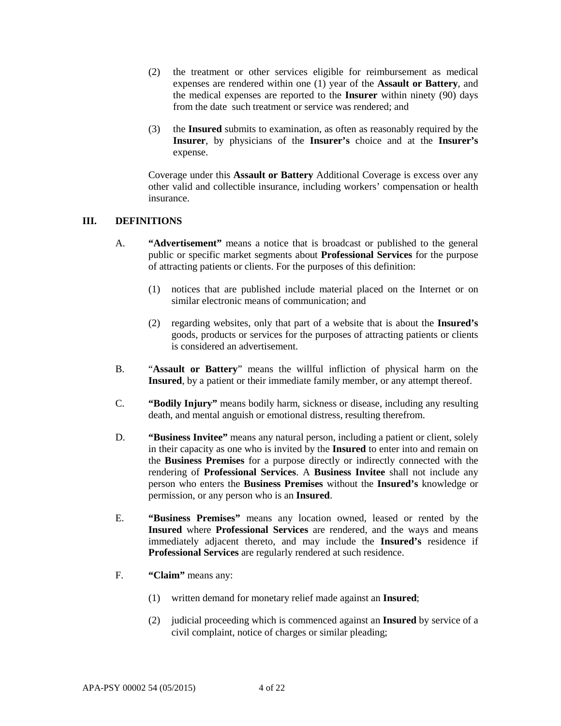- (2) the treatment or other services eligible for reimbursement as medical expenses are rendered within one (1) year of the **Assault or Battery**, and the medical expenses are reported to the **Insurer** within ninety (90) days from the date such treatment or service was rendered; and
- (3) the **Insured** submits to examination, as often as reasonably required by the **Insurer**, by physicians of the **Insurer's** choice and at the **Insurer's** expense.

Coverage under this **Assault or Battery** Additional Coverage is excess over any other valid and collectible insurance, including workers' compensation or health insurance.

## **III. DEFINITIONS**

- A. **"Advertisement"** means a notice that is broadcast or published to the general public or specific market segments about **Professional Services** for the purpose of attracting patients or clients. For the purposes of this definition:
	- (1) notices that are published include material placed on the Internet or on similar electronic means of communication; and
	- (2) regarding websites, only that part of a website that is about the **Insured's** goods, products or services for the purposes of attracting patients or clients is considered an advertisement.
- B. "**Assault or Battery**" means the willful infliction of physical harm on the **Insured**, by a patient or their immediate family member, or any attempt thereof.
- C. **"Bodily Injury"** means bodily harm, sickness or disease, including any resulting death, and mental anguish or emotional distress, resulting therefrom.
- D. **"Business Invitee"** means any natural person, including a patient or client, solely in their capacity as one who is invited by the **Insured** to enter into and remain on the **Business Premises** for a purpose directly or indirectly connected with the rendering of **Professional Services**. A **Business Invitee** shall not include any person who enters the **Business Premises** without the **Insured's** knowledge or permission, or any person who is an **Insured**.
- E. **"Business Premises"** means any location owned, leased or rented by the **Insured** where **Professional Services** are rendered, and the ways and means immediately adjacent thereto, and may include the **Insured's** residence if **Professional Services** are regularly rendered at such residence.
- F. **"Claim"** means any:
	- (1) written demand for monetary relief made against an **Insured**;
	- (2) judicial proceeding which is commenced against an **Insured** by service of a civil complaint, notice of charges or similar pleading;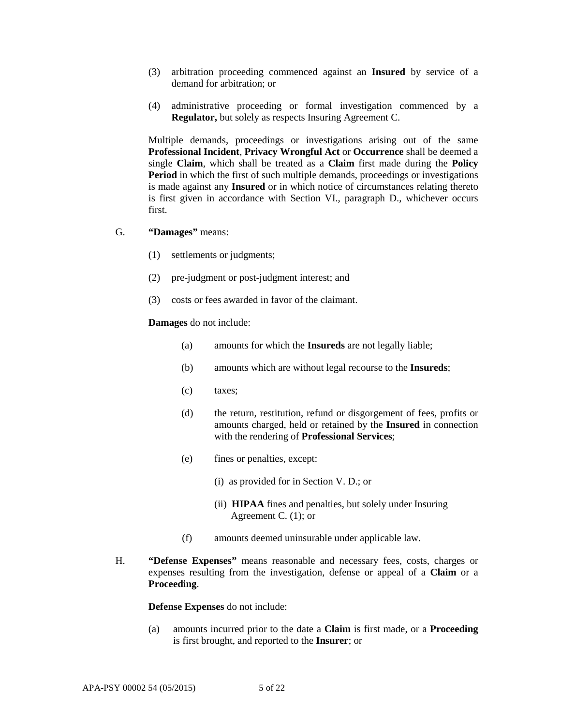- (3) arbitration proceeding commenced against an **Insured** by service of a demand for arbitration; or
- (4) administrative proceeding or formal investigation commenced by a **Regulator,** but solely as respects Insuring Agreement C.

Multiple demands, proceedings or investigations arising out of the same **Professional Incident**, **Privacy Wrongful Act** or **Occurrence** shall be deemed a single **Claim**, which shall be treated as a **Claim** first made during the **Policy Period** in which the first of such multiple demands, proceedings or investigations is made against any **Insured** or in which notice of circumstances relating thereto is first given in accordance with Section VI., paragraph D., whichever occurs first.

- G. **"Damages"** means:
	- (1) settlements or judgments;
	- (2) pre-judgment or post-judgment interest; and
	- (3) costs or fees awarded in favor of the claimant.

#### **Damages** do not include:

- (a) amounts for which the **Insureds** are not legally liable;
- (b) amounts which are without legal recourse to the **Insureds**;
- (c) taxes;
- (d) the return, restitution, refund or disgorgement of fees, profits or amounts charged, held or retained by the **Insured** in connection with the rendering of **Professional Services**;
- (e) fines or penalties, except:
	- (i) as provided for in Section V. D.; or
	- (ii) **HIPAA** fines and penalties, but solely under Insuring Agreement C. (1); or
- (f) amounts deemed uninsurable under applicable law.
- H. **"Defense Expenses"** means reasonable and necessary fees, costs, charges or expenses resulting from the investigation, defense or appeal of a **Claim** or a **Proceeding**.

**Defense Expenses** do not include:

(a) amounts incurred prior to the date a **Claim** is first made, or a **Proceeding** is first brought, and reported to the **Insurer**; or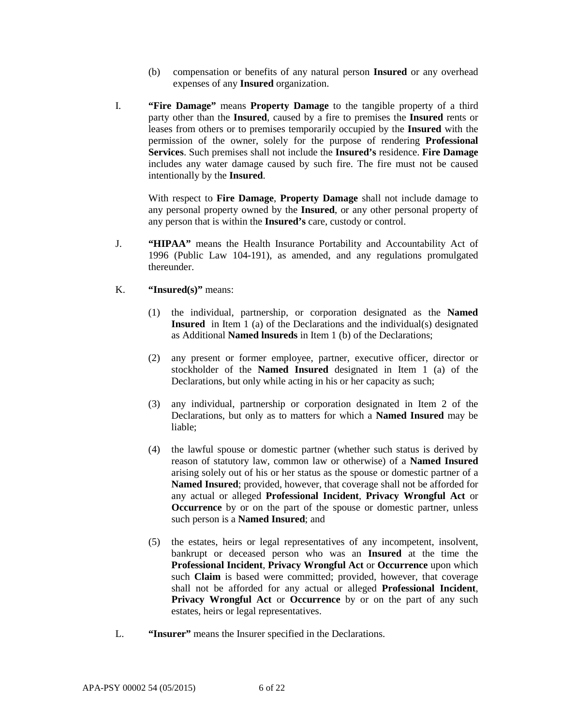- (b) compensation or benefits of any natural person **Insured** or any overhead expenses of any **Insured** organization.
- I. **"Fire Damage"** means **Property Damage** to the tangible property of a third party other than the **Insured**, caused by a fire to premises the **Insured** rents or leases from others or to premises temporarily occupied by the **Insured** with the permission of the owner, solely for the purpose of rendering **Professional Services**. Such premises shall not include the **Insured's** residence. **Fire Damage** includes any water damage caused by such fire. The fire must not be caused intentionally by the **Insured**.

With respect to **Fire Damage**, **Property Damage** shall not include damage to any personal property owned by the **Insured**, or any other personal property of any person that is within the **Insured's** care, custody or control.

- J. **"HIPAA"** means the Health Insurance Portability and Accountability Act of 1996 (Public Law 104-191), as amended, and any regulations promulgated thereunder.
- K. **"Insured(s)"** means:
	- (1) the individual, partnership, or corporation designated as the **Named Insured** in Item 1 (a) of the Declarations and the individual(s) designated as Additional **Named lnsureds** in Item 1 (b) of the Declarations;
	- (2) any present or former employee, partner, executive officer, director or stockholder of the **Named Insured** designated in Item 1 (a) of the Declarations, but only while acting in his or her capacity as such;
	- (3) any individual, partnership or corporation designated in Item 2 of the Declarations, but only as to matters for which a **Named Insured** may be liable;
	- (4) the lawful spouse or domestic partner (whether such status is derived by reason of statutory law, common law or otherwise) of a **Named Insured**  arising solely out of his or her status as the spouse or domestic partner of a **Named Insured**; provided, however, that coverage shall not be afforded for any actual or alleged **Professional Incident**, **Privacy Wrongful Act** or **Occurrence** by or on the part of the spouse or domestic partner, unless such person is a **Named Insured**; and
	- (5) the estates, heirs or legal representatives of any incompetent, insolvent, bankrupt or deceased person who was an **Insured** at the time the **Professional Incident**, **Privacy Wrongful Act** or **Occurrence** upon which such **Claim** is based were committed; provided, however, that coverage shall not be afforded for any actual or alleged **Professional Incident**, **Privacy Wrongful Act** or **Occurrence** by or on the part of any such estates, heirs or legal representatives.
- L. **"Insurer"** means the Insurer specified in the Declarations.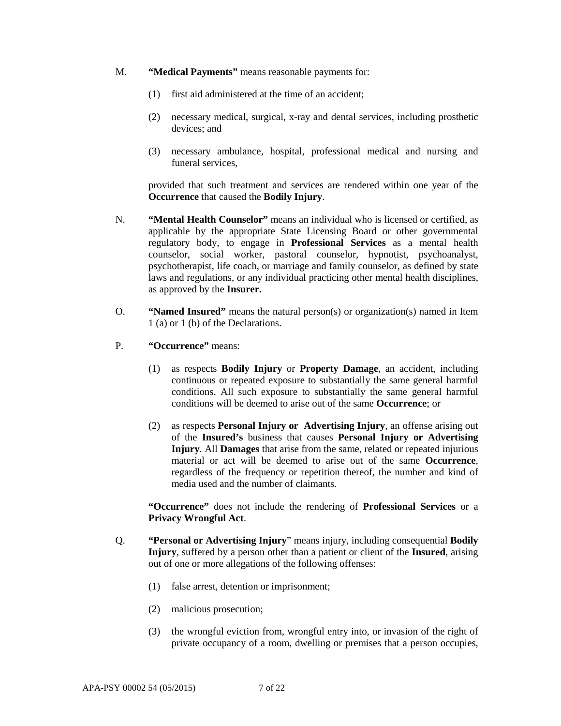- M. **"Medical Payments"** means reasonable payments for:
	- (1) first aid administered at the time of an accident;
	- (2) necessary medical, surgical, x-ray and dental services, including prosthetic devices; and
	- (3) necessary ambulance, hospital, professional medical and nursing and funeral services,

provided that such treatment and services are rendered within one year of the **Occurrence** that caused the **Bodily Injury**.

- N. **"Mental Health Counselor"** means an individual who is licensed or certified, as applicable by the appropriate State Licensing Board or other governmental regulatory body, to engage in **Professional Services** as a mental health counselor, social worker, pastoral counselor, hypnotist, psychoanalyst, psychotherapist, life coach, or marriage and family counselor, as defined by state laws and regulations, or any individual practicing other mental health disciplines, as approved by the **Insurer.**
- O. **"Named Insured"** means the natural person(s) or organization(s) named in Item 1 (a) or 1 (b) of the Declarations.
- P. **"Occurrence"** means:
	- (1) as respects **Bodily Injury** or **Property Damage**, an accident, including continuous or repeated exposure to substantially the same general harmful conditions. All such exposure to substantially the same general harmful conditions will be deemed to arise out of the same **Occurrence**; or
	- (2) as respects **Personal Injury or Advertising Injury**, an offense arising out of the **Insured's** business that causes **Personal Injury or Advertising Injury**. All **Damages** that arise from the same, related or repeated injurious material or act will be deemed to arise out of the same **Occurrence**, regardless of the frequency or repetition thereof, the number and kind of media used and the number of claimants.

**"Occurrence"** does not include the rendering of **Professional Services** or a **Privacy Wrongful Act**.

- Q. **"Personal or Advertising Injury**" means injury, including consequential **Bodily Injury**, suffered by a person other than a patient or client of the **Insured**, arising out of one or more allegations of the following offenses:
	- (1) false arrest, detention or imprisonment;
	- (2) malicious prosecution;
	- (3) the wrongful eviction from, wrongful entry into, or invasion of the right of private occupancy of a room, dwelling or premises that a person occupies,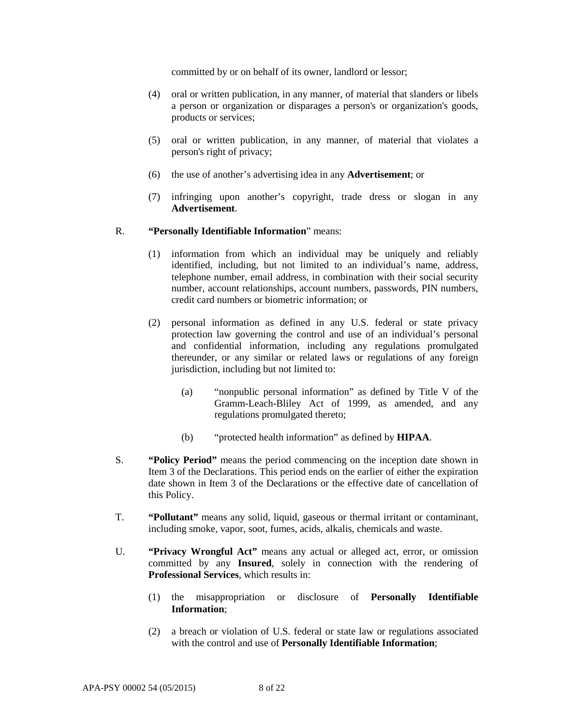committed by or on behalf of its owner, landlord or lessor;

- (4) oral or written publication, in any manner, of material that slanders or libels a person or organization or disparages a person's or organization's goods, products or services;
- (5) oral or written publication, in any manner, of material that violates a person's right of privacy;
- (6) the use of another's advertising idea in any **Advertisement**; or
- (7) infringing upon another's copyright, trade dress or slogan in any **Advertisement**.

#### R. **"Personally Identifiable Information**" means:

- (1) information from which an individual may be uniquely and reliably identified, including, but not limited to an individual's name, address, telephone number, email address, in combination with their social security number, account relationships, account numbers, passwords, PIN numbers, credit card numbers or biometric information; or
- (2) personal information as defined in any U.S. federal or state privacy protection law governing the control and use of an individual's personal and confidential information, including any regulations promulgated thereunder, or any similar or related laws or regulations of any foreign jurisdiction, including but not limited to:
	- (a) "nonpublic personal information" as defined by Title V of the Gramm-Leach-Bliley Act of 1999, as amended, and any regulations promulgated thereto;
	- (b) "protected health information" as defined by **HIPAA**.
- S. **"Policy Period"** means the period commencing on the inception date shown in Item 3 of the Declarations. This period ends on the earlier of either the expiration date shown in Item 3 of the Declarations or the effective date of cancellation of this Policy.
- T. **"Pollutant"** means any solid, liquid, gaseous or thermal irritant or contaminant, including smoke, vapor, soot, fumes, acids, alkalis, chemicals and waste.
- U. **"Privacy Wrongful Act"** means any actual or alleged act, error, or omission committed by any **Insured**, solely in connection with the rendering of **Professional Services**, which results in:
	- (1) the misappropriation or disclosure of **Personally Identifiable Information**;
	- (2) a breach or violation of U.S. federal or state law or regulations associated with the control and use of **Personally Identifiable Information**;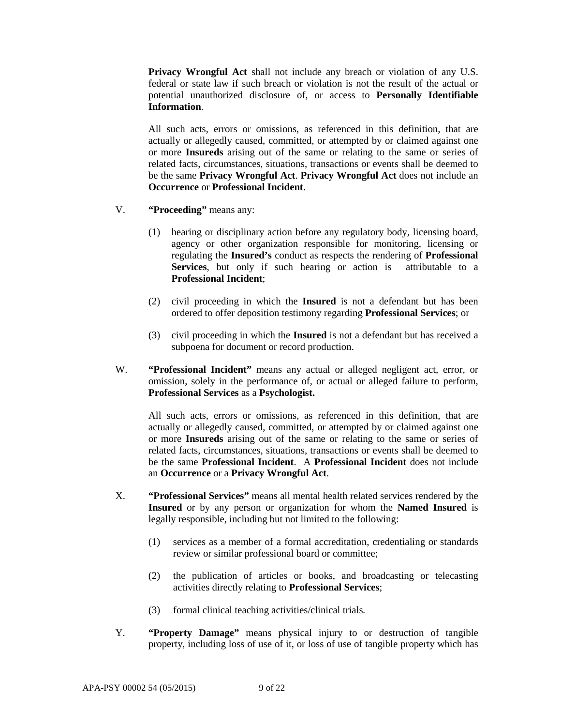**Privacy Wrongful Act** shall not include any breach or violation of any U.S. federal or state law if such breach or violation is not the result of the actual or potential unauthorized disclosure of, or access to **Personally Identifiable Information**.

All such acts, errors or omissions, as referenced in this definition, that are actually or allegedly caused, committed, or attempted by or claimed against one or more **Insureds** arising out of the same or relating to the same or series of related facts, circumstances, situations, transactions or events shall be deemed to be the same **Privacy Wrongful Act**. **Privacy Wrongful Act** does not include an **Occurrence** or **Professional Incident**.

- V. **"Proceeding"** means any:
	- (1) hearing or disciplinary action before any regulatory body, licensing board, agency or other organization responsible for monitoring, licensing or regulating the **Insured's** conduct as respects the rendering of **Professional Services**, but only if such hearing or action is attributable to a **Professional Incident**;
	- (2) civil proceeding in which the **Insured** is not a defendant but has been ordered to offer deposition testimony regarding **Professional Services**; or
	- (3) civil proceeding in which the **Insured** is not a defendant but has received a subpoena for document or record production.
- W. **"Professional Incident"** means any actual or alleged negligent act, error, or omission, solely in the performance of, or actual or alleged failure to perform, **Professional Services** as a **Psychologist.**

All such acts, errors or omissions, as referenced in this definition, that are actually or allegedly caused, committed, or attempted by or claimed against one or more **Insureds** arising out of the same or relating to the same or series of related facts, circumstances, situations, transactions or events shall be deemed to be the same **Professional Incident**. A **Professional Incident** does not include an **Occurrence** or a **Privacy Wrongful Act**.

- X. **"Professional Services"** means all mental health related services rendered by the **Insured** or by any person or organization for whom the **Named Insured** is legally responsible, including but not limited to the following:
	- (1) services as a member of a formal accreditation, credentialing or standards review or similar professional board or committee;
	- (2) the publication of articles or books, and broadcasting or telecasting activities directly relating to **Professional Services**;
	- (3) formal clinical teaching activities/clinical trials.
- Y. **"Property Damage"** means physical injury to or destruction of tangible property, including loss of use of it, or loss of use of tangible property which has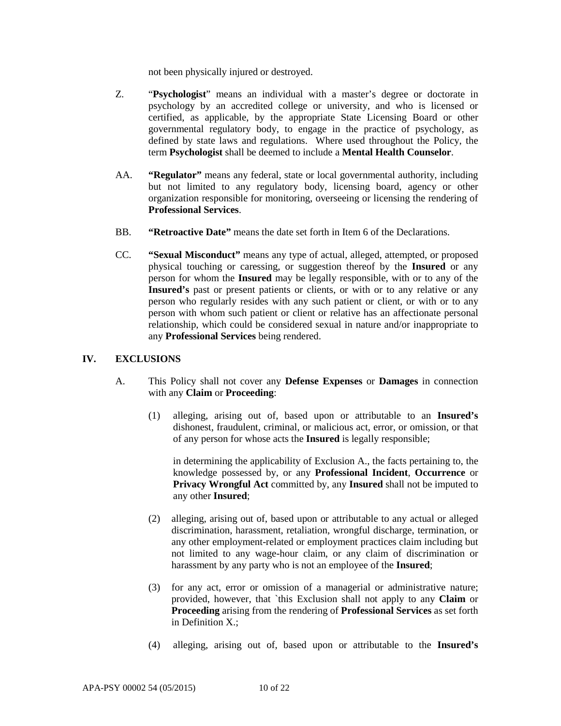not been physically injured or destroyed.

- Z. "**Psychologist**" means an individual with a master's degree or doctorate in psychology by an accredited college or university, and who is licensed or certified, as applicable, by the appropriate State Licensing Board or other governmental regulatory body, to engage in the practice of psychology, as defined by state laws and regulations. Where used throughout the Policy, the term **Psychologist** shall be deemed to include a **Mental Health Counselor**.
- AA. **"Regulator"** means any federal, state or local governmental authority, including but not limited to any regulatory body, licensing board, agency or other organization responsible for monitoring, overseeing or licensing the rendering of **Professional Services**.
- BB. **"Retroactive Date"** means the date set forth in Item 6 of the Declarations.
- CC. **"Sexual Misconduct"** means any type of actual, alleged, attempted, or proposed physical touching or caressing, or suggestion thereof by the **Insured** or any person for whom the **Insured** may be legally responsible, with or to any of the Insured's past or present patients or clients, or with or to any relative or any person who regularly resides with any such patient or client, or with or to any person with whom such patient or client or relative has an affectionate personal relationship, which could be considered sexual in nature and/or inappropriate to any **Professional Services** being rendered.

#### **IV. EXCLUSIONS**

- A. This Policy shall not cover any **Defense Expenses** or **Damages** in connection with any **Claim** or **Proceeding**:
	- (1) alleging, arising out of, based upon or attributable to an **Insured's** dishonest, fraudulent, criminal, or malicious act, error, or omission, or that of any person for whose acts the **Insured** is legally responsible;

in determining the applicability of Exclusion A., the facts pertaining to, the knowledge possessed by, or any **Professional Incident**, **Occurrence** or **Privacy Wrongful Act** committed by, any **Insured** shall not be imputed to any other **Insured**;

- (2) alleging, arising out of, based upon or attributable to any actual or alleged discrimination, harassment, retaliation, wrongful discharge, termination, or any other employment-related or employment practices claim including but not limited to any wage-hour claim, or any claim of discrimination or harassment by any party who is not an employee of the **Insured**;
- (3) for any act, error or omission of a managerial or administrative nature; provided, however, that `this Exclusion shall not apply to any **Claim** or **Proceeding** arising from the rendering of **Professional Services** as set forth in Definition X.;
- (4) alleging, arising out of, based upon or attributable to the **Insured's**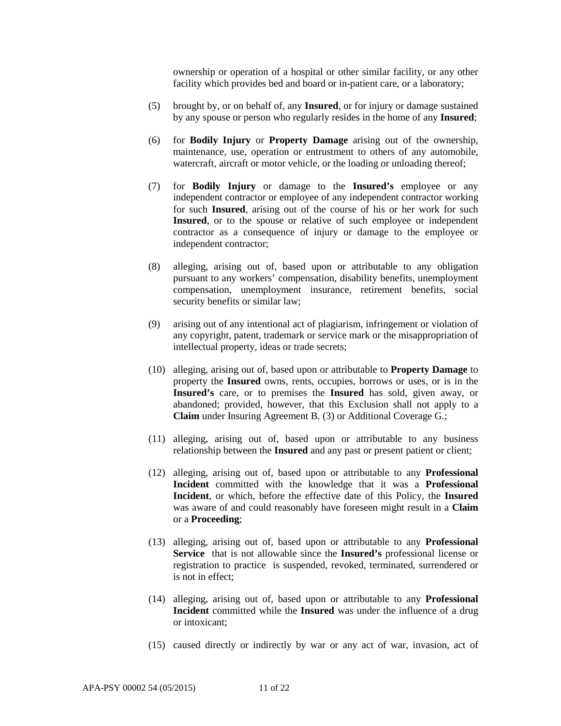ownership or operation of a hospital or other similar facility, or any other facility which provides bed and board or in-patient care, or a laboratory;

- (5) brought by, or on behalf of, any **Insured**, or for injury or damage sustained by any spouse or person who regularly resides in the home of any **Insured**;
- (6) for **Bodily Injury** or **Property Damage** arising out of the ownership, maintenance, use, operation or entrustment to others of any automobile, watercraft, aircraft or motor vehicle, or the loading or unloading thereof;
- (7) for **Bodily Injury** or damage to the **Insured's** employee or any independent contractor or employee of any independent contractor working for such **Insured**, arising out of the course of his or her work for such **Insured**, or to the spouse or relative of such employee or independent contractor as a consequence of injury or damage to the employee or independent contractor;
- (8) alleging, arising out of, based upon or attributable to any obligation pursuant to any workers' compensation, disability benefits, unemployment compensation, unemployment insurance, retirement benefits, social security benefits or similar law;
- (9) arising out of any intentional act of plagiarism, infringement or violation of any copyright, patent, trademark or service mark or the misappropriation of intellectual property, ideas or trade secrets;
- (10) alleging, arising out of, based upon or attributable to **Property Damage** to property the **Insured** owns, rents, occupies, borrows or uses, or is in the **Insured's** care, or to premises the **Insured** has sold, given away, or abandoned; provided, however, that this Exclusion shall not apply to a **Claim** under Insuring Agreement B. (3) or Additional Coverage G.;
- (11) alleging, arising out of, based upon or attributable to any business relationship between the **Insured** and any past or present patient or client;
- (12) alleging, arising out of, based upon or attributable to any **Professional Incident** committed with the knowledge that it was a **Professional Incident**, or which, before the effective date of this Policy, the **Insured** was aware of and could reasonably have foreseen might result in a **Claim** or a **Proceeding**;
- (13) alleging, arising out of, based upon or attributable to any **Professional Service** that is not allowable since the **Insured's** professional license or registration to practice is suspended, revoked, terminated, surrendered or is not in effect;
- (14) alleging, arising out of, based upon or attributable to any **Professional Incident** committed while the **Insured** was under the influence of a drug or intoxicant;
- (15) caused directly or indirectly by war or any act of war, invasion, act of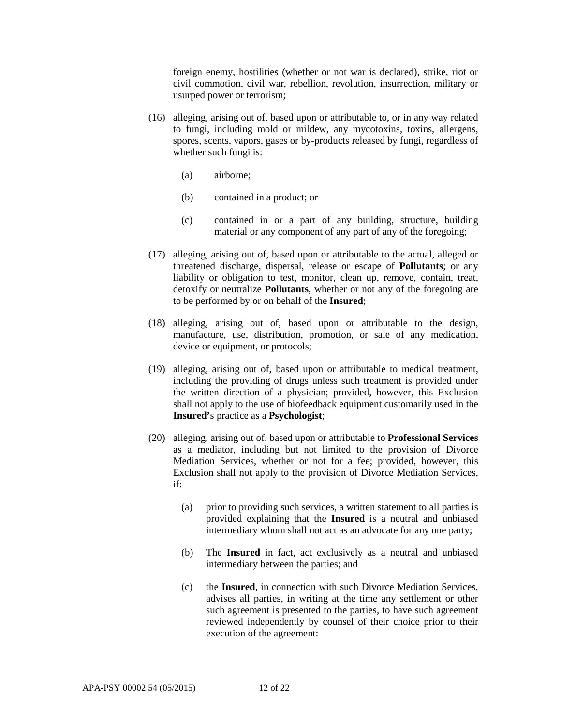foreign enemy, hostilities (whether or not war is declared), strike, riot or civil commotion, civil war, rebellion, revolution, insurrection, military or usurped power or terrorism;

- (16) alleging, arising out of, based upon or attributable to, or in any way related to fungi, including mold or mildew, any mycotoxins, toxins, allergens, spores, scents, vapors, gases or by-products released by fungi, regardless of whether such fungi is:
	- (a) airborne;
	- (b) contained in a product; or
	- (c) contained in or a part of any building, structure, building material or any component of any part of any of the foregoing;
- (17) alleging, arising out of, based upon or attributable to the actual, alleged or threatened discharge, dispersal, release or escape of **Pollutants**; or any liability or obligation to test, monitor, clean up, remove, contain, treat, detoxify or neutralize **Pollutants**, whether or not any of the foregoing are to be performed by or on behalf of the **Insured**;
- (18) alleging, arising out of, based upon or attributable to the design, manufacture, use, distribution, promotion, or sale of any medication, device or equipment, or protocols;
- (19) alleging, arising out of, based upon or attributable to medical treatment, including the providing of drugs unless such treatment is provided under the written direction of a physician; provided, however, this Exclusion shall not apply to the use of biofeedback equipment customarily used in the **Insured'**s practice as a **Psychologist**;
- (20) alleging, arising out of, based upon or attributable to **Professional Services** as a mediator, including but not limited to the provision of Divorce Mediation Services, whether or not for a fee; provided, however, this Exclusion shall not apply to the provision of Divorce Mediation Services, if:
	- (a) prior to providing such services, a written statement to all parties is provided explaining that the **Insured** is a neutral and unbiased intermediary whom shall not act as an advocate for any one party;
	- (b) The **Insured** in fact, act exclusively as a neutral and unbiased intermediary between the parties; and
	- (c) the **Insured**, in connection with such Divorce Mediation Services, advises all parties, in writing at the time any settlement or other such agreement is presented to the parties, to have such agreement reviewed independently by counsel of their choice prior to their execution of the agreement: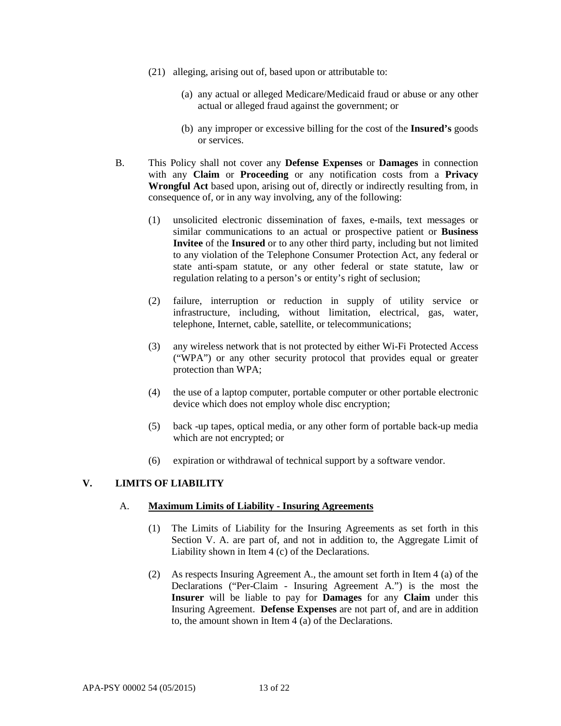- (21) alleging, arising out of, based upon or attributable to:
	- (a) any actual or alleged Medicare/Medicaid fraud or abuse or any other actual or alleged fraud against the government; or
	- (b) any improper or excessive billing for the cost of the **Insured's** goods or services.
- B. This Policy shall not cover any **Defense Expenses** or **Damages** in connection with any **Claim** or **Proceeding** or any notification costs from a **Privacy Wrongful Act** based upon, arising out of, directly or indirectly resulting from, in consequence of, or in any way involving, any of the following:
	- (1) unsolicited electronic dissemination of faxes, e-mails, text messages or similar communications to an actual or prospective patient or **Business Invitee** of the **Insured** or to any other third party, including but not limited to any violation of the Telephone Consumer Protection Act, any federal or state anti-spam statute, or any other federal or state statute, law or regulation relating to a person's or entity's right of seclusion;
	- (2) failure, interruption or reduction in supply of utility service or infrastructure, including, without limitation, electrical, gas, water, telephone, Internet, cable, satellite, or telecommunications;
	- (3) any wireless network that is not protected by either Wi-Fi Protected Access ("WPA") or any other security protocol that provides equal or greater protection than WPA;
	- (4) the use of a laptop computer, portable computer or other portable electronic device which does not employ whole disc encryption;
	- (5) back -up tapes, optical media, or any other form of portable back-up media which are not encrypted; or
	- (6) expiration or withdrawal of technical support by a software vendor.

## **V. LIMITS OF LIABILITY**

#### A. **Maximum Limits of Liability - Insuring Agreements**

- (1) The Limits of Liability for the Insuring Agreements as set forth in this Section V. A. are part of, and not in addition to, the Aggregate Limit of Liability shown in Item 4 (c) of the Declarations.
- (2) As respects Insuring Agreement A., the amount set forth in Item 4 (a) of the Declarations ("Per-Claim - Insuring Agreement A.") is the most the **Insurer** will be liable to pay for **Damages** for any **Claim** under this Insuring Agreement. **Defense Expenses** are not part of, and are in addition to, the amount shown in Item 4 (a) of the Declarations.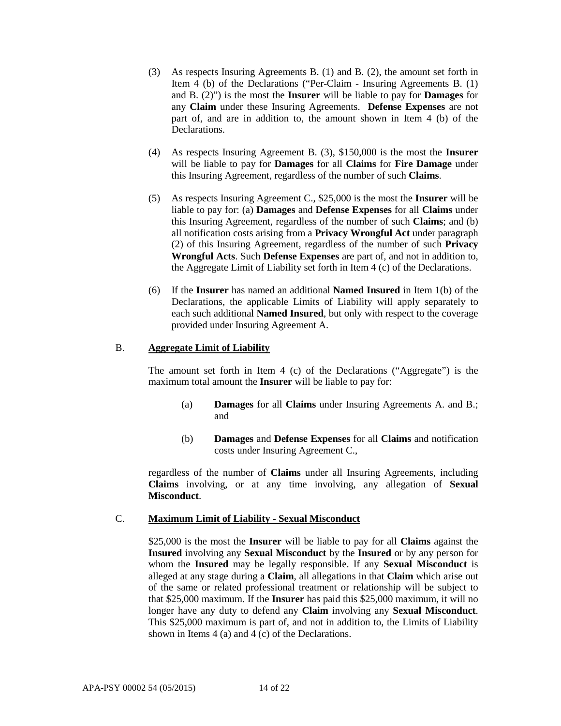- (3) As respects Insuring Agreements B. (1) and B. (2), the amount set forth in Item 4 (b) of the Declarations ("Per-Claim - Insuring Agreements B. (1) and B. (2)") is the most the **Insurer** will be liable to pay for **Damages** for any **Claim** under these Insuring Agreements. **Defense Expenses** are not part of, and are in addition to, the amount shown in Item 4 (b) of the Declarations.
- (4) As respects Insuring Agreement B. (3), \$150,000 is the most the **Insurer**  will be liable to pay for **Damages** for all **Claims** for **Fire Damage** under this Insuring Agreement, regardless of the number of such **Claims**.
- (5) As respects Insuring Agreement C., \$25,000 is the most the **Insurer** will be liable to pay for: (a) **Damages** and **Defense Expenses** for all **Claims** under this Insuring Agreement, regardless of the number of such **Claims**; and (b) all notification costs arising from a **Privacy Wrongful Act** under paragraph (2) of this Insuring Agreement, regardless of the number of such **Privacy Wrongful Acts**. Such **Defense Expenses** are part of, and not in addition to, the Aggregate Limit of Liability set forth in Item 4 (c) of the Declarations.
- (6) If the **Insurer** has named an additional **Named Insured** in Item 1(b) of the Declarations, the applicable Limits of Liability will apply separately to each such additional **Named Insured**, but only with respect to the coverage provided under Insuring Agreement A.

## B. **Aggregate Limit of Liability**

The amount set forth in Item 4 (c) of the Declarations ("Aggregate") is the maximum total amount the **Insurer** will be liable to pay for:

- (a) **Damages** for all **Claims** under Insuring Agreements A. and B.; and
- (b) **Damages** and **Defense Expenses** for all **Claims** and notification costs under Insuring Agreement C.,

regardless of the number of **Claims** under all Insuring Agreements, including **Claims** involving, or at any time involving, any allegation of **Sexual Misconduct**.

## C. **Maximum Limit of Liability - Sexual Misconduct**

\$25,000 is the most the **Insurer** will be liable to pay for all **Claims** against the **Insured** involving any **Sexual Misconduct** by the **Insured** or by any person for whom the **Insured** may be legally responsible. If any **Sexual Misconduct** is alleged at any stage during a **Claim**, all allegations in that **Claim** which arise out of the same or related professional treatment or relationship will be subject to that \$25,000 maximum. If the **Insurer** has paid this \$25,000 maximum, it will no longer have any duty to defend any **Claim** involving any **Sexual Misconduct**. This \$25,000 maximum is part of, and not in addition to, the Limits of Liability shown in Items 4 (a) and 4 (c) of the Declarations.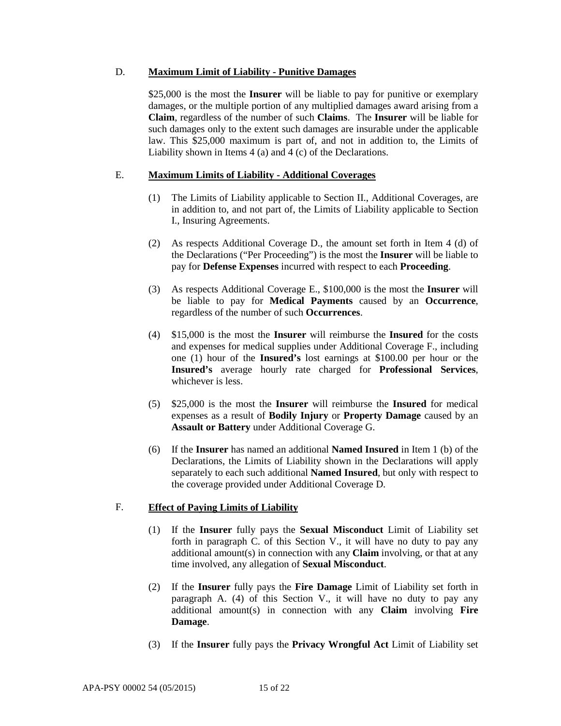#### D. **Maximum Limit of Liability - Punitive Damages**

\$25,000 is the most the **Insurer** will be liable to pay for punitive or exemplary damages, or the multiple portion of any multiplied damages award arising from a **Claim**, regardless of the number of such **Claims**. The **Insurer** will be liable for such damages only to the extent such damages are insurable under the applicable law. This \$25,000 maximum is part of, and not in addition to, the Limits of Liability shown in Items 4 (a) and 4 (c) of the Declarations.

## E. **Maximum Limits of Liability - Additional Coverages**

- (1) The Limits of Liability applicable to Section II., Additional Coverages, are in addition to, and not part of, the Limits of Liability applicable to Section I., Insuring Agreements.
- (2) As respects Additional Coverage D., the amount set forth in Item 4 (d) of the Declarations ("Per Proceeding") is the most the **Insurer** will be liable to pay for **Defense Expenses** incurred with respect to each **Proceeding**.
- (3) As respects Additional Coverage E., \$100,000 is the most the **Insurer** will be liable to pay for **Medical Payments** caused by an **Occurrence**, regardless of the number of such **Occurrences**.
- (4) \$15,000 is the most the **Insurer** will reimburse the **Insured** for the costs and expenses for medical supplies under Additional Coverage F., including one (1) hour of the **Insured's** lost earnings at \$100.00 per hour or the **Insured's** average hourly rate charged for **Professional Services**, whichever is less.
- (5) \$25,000 is the most the **Insurer** will reimburse the **Insured** for medical expenses as a result of **Bodily Injury** or **Property Damage** caused by an **Assault or Battery** under Additional Coverage G.
- (6) If the **Insurer** has named an additional **Named Insured** in Item 1 (b) of the Declarations, the Limits of Liability shown in the Declarations will apply separately to each such additional **Named Insured**, but only with respect to the coverage provided under Additional Coverage D.

## F. **Effect of Paying Limits of Liability**

- (1) If the **Insurer** fully pays the **Sexual Misconduct** Limit of Liability set forth in paragraph C. of this Section V., it will have no duty to pay any additional amount(s) in connection with any **Claim** involving, or that at any time involved, any allegation of **Sexual Misconduct**.
- (2) If the **Insurer** fully pays the **Fire Damage** Limit of Liability set forth in paragraph A. (4) of this Section V., it will have no duty to pay any additional amount(s) in connection with any **Claim** involving **Fire Damage**.
- (3) If the **Insurer** fully pays the **Privacy Wrongful Act** Limit of Liability set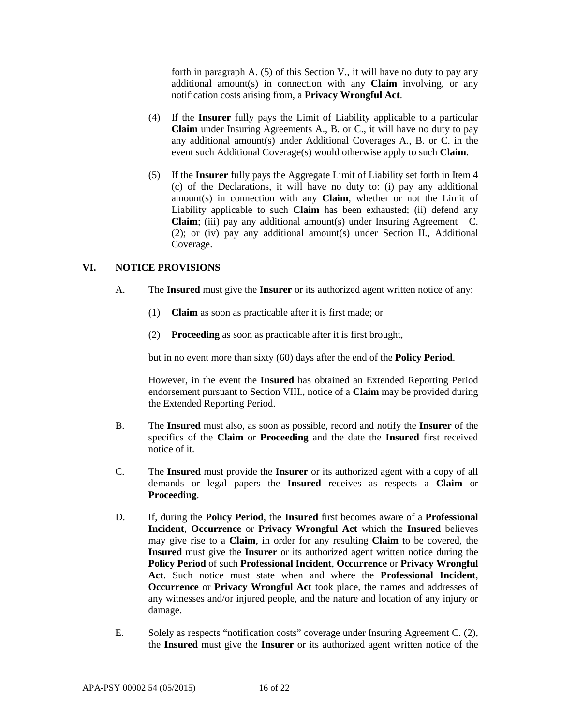forth in paragraph A. (5) of this Section V., it will have no duty to pay any additional amount(s) in connection with any **Claim** involving, or any notification costs arising from, a **Privacy Wrongful Act**.

- (4) If the **Insurer** fully pays the Limit of Liability applicable to a particular **Claim** under Insuring Agreements A., B. or C., it will have no duty to pay any additional amount(s) under Additional Coverages A., B. or C. in the event such Additional Coverage(s) would otherwise apply to such **Claim**.
- (5) If the **Insurer** fully pays the Aggregate Limit of Liability set forth in Item 4 (c) of the Declarations, it will have no duty to: (i) pay any additional amount(s) in connection with any **Claim**, whether or not the Limit of Liability applicable to such **Claim** has been exhausted; (ii) defend any **Claim**; (iii) pay any additional amount(s) under Insuring Agreement C. (2); or (iv) pay any additional amount(s) under Section II., Additional Coverage.

# **VI. NOTICE PROVISIONS**

- A. The **Insured** must give the **Insurer** or its authorized agent written notice of any:
	- (1) **Claim** as soon as practicable after it is first made; or
	- (2) **Proceeding** as soon as practicable after it is first brought,

but in no event more than sixty (60) days after the end of the **Policy Period**.

However, in the event the **Insured** has obtained an Extended Reporting Period endorsement pursuant to Section VIII., notice of a **Claim** may be provided during the Extended Reporting Period.

- B. The **Insured** must also, as soon as possible, record and notify the **Insurer** of the specifics of the **Claim** or **Proceeding** and the date the **Insured** first received notice of it.
- C. The **Insured** must provide the **Insurer** or its authorized agent with a copy of all demands or legal papers the **Insured** receives as respects a **Claim** or **Proceeding**.
- D. If, during the **Policy Period**, the **Insured** first becomes aware of a **Professional Incident**, **Occurrence** or **Privacy Wrongful Act** which the **Insured** believes may give rise to a **Claim**, in order for any resulting **Claim** to be covered, the **Insured** must give the **Insurer** or its authorized agent written notice during the **Policy Period** of such **Professional Incident**, **Occurrence** or **Privacy Wrongful Act**. Such notice must state when and where the **Professional Incident**, **Occurrence** or **Privacy Wrongful Act** took place, the names and addresses of any witnesses and/or injured people, and the nature and location of any injury or damage.
- E. Solely as respects "notification costs" coverage under Insuring Agreement C. (2), the **Insured** must give the **Insurer** or its authorized agent written notice of the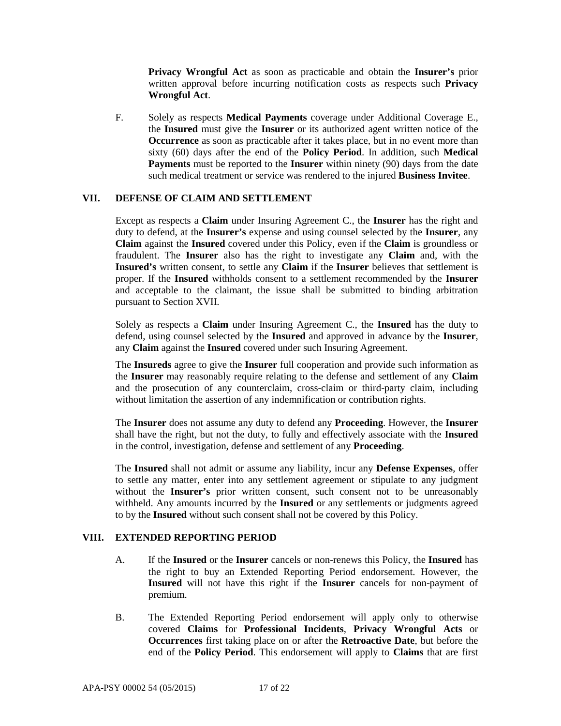**Privacy Wrongful Act** as soon as practicable and obtain the **Insurer's** prior written approval before incurring notification costs as respects such **Privacy Wrongful Act**.

F. Solely as respects **Medical Payments** coverage under Additional Coverage E., the **Insured** must give the **Insurer** or its authorized agent written notice of the **Occurrence** as soon as practicable after it takes place, but in no event more than sixty (60) days after the end of the **Policy Period**. In addition, such **Medical Payments** must be reported to the **Insurer** within ninety (90) days from the date such medical treatment or service was rendered to the injured **Business Invitee**.

## **VII. DEFENSE OF CLAIM AND SETTLEMENT**

Except as respects a **Claim** under Insuring Agreement C., the **Insurer** has the right and duty to defend, at the **Insurer's** expense and using counsel selected by the **Insurer**, any **Claim** against the **Insured** covered under this Policy, even if the **Claim** is groundless or fraudulent. The **Insurer** also has the right to investigate any **Claim** and, with the **Insured's** written consent, to settle any **Claim** if the **Insurer** believes that settlement is proper. If the **Insured** withholds consent to a settlement recommended by the **Insurer**  and acceptable to the claimant, the issue shall be submitted to binding arbitration pursuant to Section XVII.

Solely as respects a **Claim** under Insuring Agreement C., the **Insured** has the duty to defend, using counsel selected by the **Insured** and approved in advance by the **Insurer**, any **Claim** against the **Insured** covered under such Insuring Agreement.

The **Insureds** agree to give the **Insurer** full cooperation and provide such information as the **Insurer** may reasonably require relating to the defense and settlement of any **Claim** and the prosecution of any counterclaim, cross-claim or third-party claim, including without limitation the assertion of any indemnification or contribution rights.

The **Insurer** does not assume any duty to defend any **Proceeding**. However, the **Insurer** shall have the right, but not the duty, to fully and effectively associate with the **Insured** in the control, investigation, defense and settlement of any **Proceeding**.

The **Insured** shall not admit or assume any liability, incur any **Defense Expenses**, offer to settle any matter, enter into any settlement agreement or stipulate to any judgment without the **Insurer's** prior written consent, such consent not to be unreasonably withheld. Any amounts incurred by the **Insured** or any settlements or judgments agreed to by the **Insured** without such consent shall not be covered by this Policy.

## **VIII. EXTENDED REPORTING PERIOD**

- A. If the **Insured** or the **Insurer** cancels or non-renews this Policy, the **Insured** has the right to buy an Extended Reporting Period endorsement. However, the **Insured** will not have this right if the **Insurer** cancels for non-payment of premium.
- B. The Extended Reporting Period endorsement will apply only to otherwise covered **Claims** for **Professional Incidents**, **Privacy Wrongful Acts** or **Occurrences** first taking place on or after the **Retroactive Date**, but before the end of the **Policy Period**. This endorsement will apply to **Claims** that are first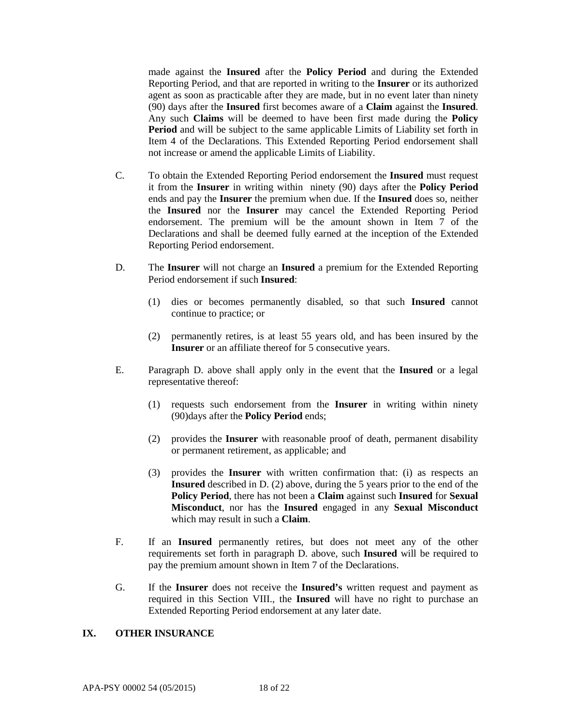made against the **Insured** after the **Policy Period** and during the Extended Reporting Period, and that are reported in writing to the **Insurer** or its authorized agent as soon as practicable after they are made, but in no event later than ninety (90) days after the **Insured** first becomes aware of a **Claim** against the **Insured**. Any such **Claims** will be deemed to have been first made during the **Policy Period** and will be subject to the same applicable Limits of Liability set forth in Item 4 of the Declarations. This Extended Reporting Period endorsement shall not increase or amend the applicable Limits of Liability.

- C. To obtain the Extended Reporting Period endorsement the **Insured** must request it from the **Insurer** in writing within ninety (90) days after the **Policy Period** ends and pay the **Insurer** the premium when due. If the **Insured** does so, neither the **Insured** nor the **Insurer** may cancel the Extended Reporting Period endorsement. The premium will be the amount shown in Item 7 of the Declarations and shall be deemed fully earned at the inception of the Extended Reporting Period endorsement.
- D. The **Insurer** will not charge an **Insured** a premium for the Extended Reporting Period endorsement if such **Insured**:
	- (1) dies or becomes permanently disabled, so that such **Insured** cannot continue to practice; or
	- (2) permanently retires, is at least 55 years old, and has been insured by the **Insurer** or an affiliate thereof for 5 consecutive years.
- E. Paragraph D. above shall apply only in the event that the **Insured** or a legal representative thereof:
	- (1) requests such endorsement from the **Insurer** in writing within ninety (90)days after the **Policy Period** ends;
	- (2) provides the **Insurer** with reasonable proof of death, permanent disability or permanent retirement, as applicable; and
	- (3) provides the **Insurer** with written confirmation that: (i) as respects an **Insured** described in D. (2) above, during the 5 years prior to the end of the **Policy Period**, there has not been a **Claim** against such **Insured** for **Sexual Misconduct**, nor has the **Insured** engaged in any **Sexual Misconduct**  which may result in such a **Claim**.
- F. If an **Insured** permanently retires, but does not meet any of the other requirements set forth in paragraph D. above, such **Insured** will be required to pay the premium amount shown in Item 7 of the Declarations.
- G. If the **Insurer** does not receive the **Insured's** written request and payment as required in this Section VIII., the **Insured** will have no right to purchase an Extended Reporting Period endorsement at any later date.

## **IX. OTHER INSURANCE**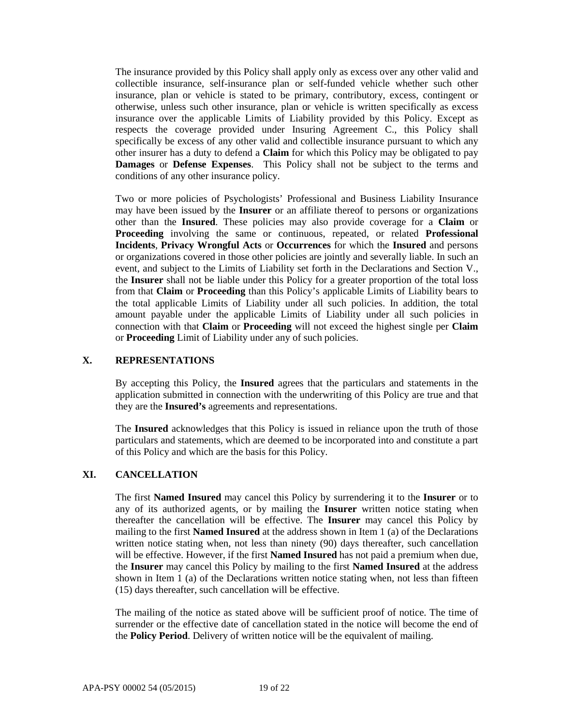The insurance provided by this Policy shall apply only as excess over any other valid and collectible insurance, self-insurance plan or self-funded vehicle whether such other insurance, plan or vehicle is stated to be primary, contributory, excess, contingent or otherwise, unless such other insurance, plan or vehicle is written specifically as excess insurance over the applicable Limits of Liability provided by this Policy. Except as respects the coverage provided under Insuring Agreement C., this Policy shall specifically be excess of any other valid and collectible insurance pursuant to which any other insurer has a duty to defend a **Claim** for which this Policy may be obligated to pay **Damages** or **Defense Expenses**. This Policy shall not be subject to the terms and conditions of any other insurance policy.

Two or more policies of Psychologists' Professional and Business Liability Insurance may have been issued by the **Insurer** or an affiliate thereof to persons or organizations other than the **Insured**. These policies may also provide coverage for a **Claim** or **Proceeding** involving the same or continuous, repeated, or related **Professional Incidents**, **Privacy Wrongful Acts** or **Occurrences** for which the **Insured** and persons or organizations covered in those other policies are jointly and severally liable. In such an event, and subject to the Limits of Liability set forth in the Declarations and Section V., the **Insurer** shall not be liable under this Policy for a greater proportion of the total loss from that **Claim** or **Proceeding** than this Policy's applicable Limits of Liability bears to the total applicable Limits of Liability under all such policies. In addition, the total amount payable under the applicable Limits of Liability under all such policies in connection with that **Claim** or **Proceeding** will not exceed the highest single per **Claim** or **Proceeding** Limit of Liability under any of such policies.

## **X. REPRESENTATIONS**

By accepting this Policy, the **Insured** agrees that the particulars and statements in the application submitted in connection with the underwriting of this Policy are true and that they are the **Insured's** agreements and representations.

The **Insured** acknowledges that this Policy is issued in reliance upon the truth of those particulars and statements, which are deemed to be incorporated into and constitute a part of this Policy and which are the basis for this Policy.

## **XI. CANCELLATION**

The first **Named Insured** may cancel this Policy by surrendering it to the **Insurer** or to any of its authorized agents, or by mailing the **Insurer** written notice stating when thereafter the cancellation will be effective. The **Insurer** may cancel this Policy by mailing to the first **Named Insured** at the address shown in Item 1 (a) of the Declarations written notice stating when, not less than ninety (90) days thereafter, such cancellation will be effective. However, if the first **Named Insured** has not paid a premium when due, the **Insurer** may cancel this Policy by mailing to the first **Named Insured** at the address shown in Item 1 (a) of the Declarations written notice stating when, not less than fifteen (15) days thereafter, such cancellation will be effective.

The mailing of the notice as stated above will be sufficient proof of notice. The time of surrender or the effective date of cancellation stated in the notice will become the end of the **Policy Period**. Delivery of written notice will be the equivalent of mailing.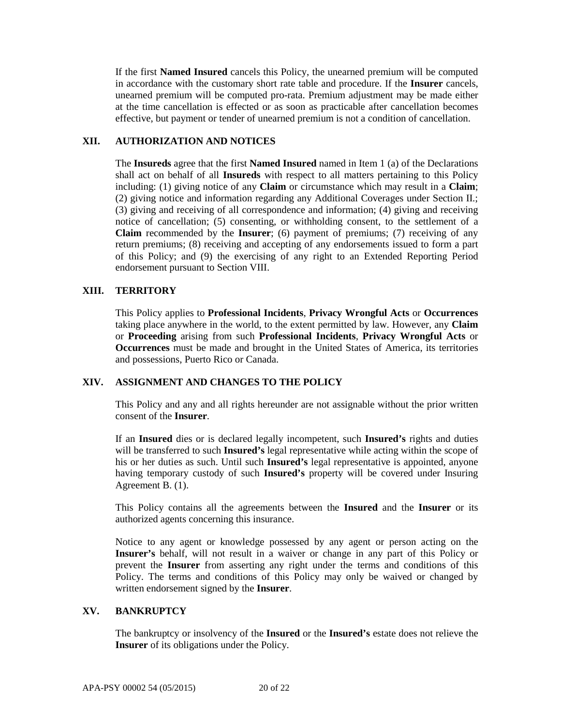If the first **Named Insured** cancels this Policy, the unearned premium will be computed in accordance with the customary short rate table and procedure. If the **Insurer** cancels, unearned premium will be computed pro-rata. Premium adjustment may be made either at the time cancellation is effected or as soon as practicable after cancellation becomes effective, but payment or tender of unearned premium is not a condition of cancellation.

# **XII. AUTHORIZATION AND NOTICES**

The **Insureds** agree that the first **Named Insured** named in Item 1 (a) of the Declarations shall act on behalf of all **Insureds** with respect to all matters pertaining to this Policy including: (1) giving notice of any **Claim** or circumstance which may result in a **Claim**; (2) giving notice and information regarding any Additional Coverages under Section II.; (3) giving and receiving of all correspondence and information; (4) giving and receiving notice of cancellation; (5) consenting, or withholding consent, to the settlement of a **Claim** recommended by the **Insurer**; (6) payment of premiums; (7) receiving of any return premiums; (8) receiving and accepting of any endorsements issued to form a part of this Policy; and (9) the exercising of any right to an Extended Reporting Period endorsement pursuant to Section VIII.

# **XIII. TERRITORY**

This Policy applies to **Professional Incidents**, **Privacy Wrongful Acts** or **Occurrences** taking place anywhere in the world, to the extent permitted by law. However, any **Claim**  or **Proceeding** arising from such **Professional Incidents**, **Privacy Wrongful Acts** or **Occurrences** must be made and brought in the United States of America, its territories and possessions, Puerto Rico or Canada.

## **XIV. ASSIGNMENT AND CHANGES TO THE POLICY**

This Policy and any and all rights hereunder are not assignable without the prior written consent of the **Insurer**.

If an **Insured** dies or is declared legally incompetent, such **Insured's** rights and duties will be transferred to such **Insured's** legal representative while acting within the scope of his or her duties as such. Until such **Insured's** legal representative is appointed, anyone having temporary custody of such **Insured's** property will be covered under Insuring Agreement B. (1).

This Policy contains all the agreements between the **Insured** and the **Insurer** or its authorized agents concerning this insurance.

Notice to any agent or knowledge possessed by any agent or person acting on the **Insurer's** behalf, will not result in a waiver or change in any part of this Policy or prevent the **Insurer** from asserting any right under the terms and conditions of this Policy. The terms and conditions of this Policy may only be waived or changed by written endorsement signed by the **Insurer**.

## **XV. BANKRUPTCY**

The bankruptcy or insolvency of the **Insured** or the **Insured's** estate does not relieve the **Insurer** of its obligations under the Policy.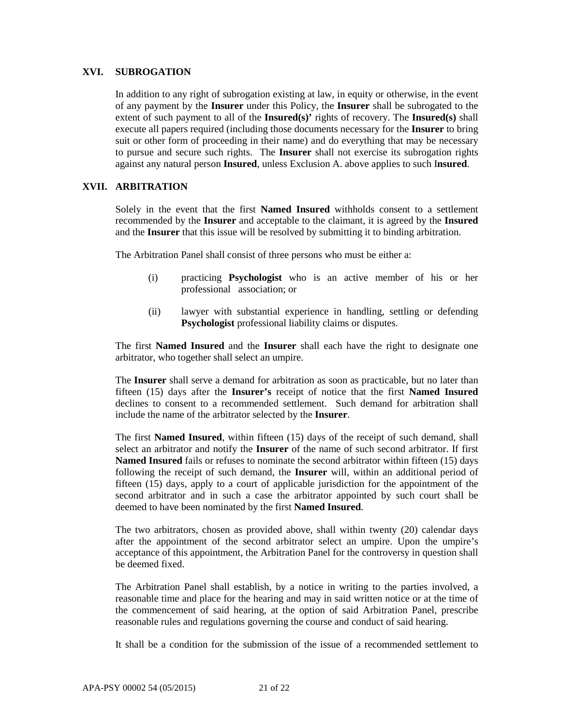#### **XVI. SUBROGATION**

In addition to any right of subrogation existing at law, in equity or otherwise, in the event of any payment by the **Insurer** under this Policy, the **Insurer** shall be subrogated to the extent of such payment to all of the **Insured(s)'** rights of recovery. The **Insured(s)** shall execute all papers required (including those documents necessary for the **Insurer** to bring suit or other form of proceeding in their name) and do everything that may be necessary to pursue and secure such rights. The **Insurer** shall not exercise its subrogation rights against any natural person **Insured**, unless Exclusion A. above applies to such I**nsured**.

## **XVII. ARBITRATION**

Solely in the event that the first **Named Insured** withholds consent to a settlement recommended by the **Insurer** and acceptable to the claimant, it is agreed by the **Insured** and the **Insurer** that this issue will be resolved by submitting it to binding arbitration.

The Arbitration Panel shall consist of three persons who must be either a:

- (i) practicing **Psychologist** who is an active member of his or her professional association; or
- (ii) lawyer with substantial experience in handling, settling or defending **Psychologist** professional liability claims or disputes.

The first **Named Insured** and the **Insurer** shall each have the right to designate one arbitrator, who together shall select an umpire.

The **Insurer** shall serve a demand for arbitration as soon as practicable, but no later than fifteen (15) days after the **Insurer's** receipt of notice that the first **Named Insured** declines to consent to a recommended settlement. Such demand for arbitration shall include the name of the arbitrator selected by the **Insurer**.

The first **Named Insured**, within fifteen (15) days of the receipt of such demand, shall select an arbitrator and notify the **Insurer** of the name of such second arbitrator. If first **Named Insured** fails or refuses to nominate the second arbitrator within fifteen (15) days following the receipt of such demand, the **Insurer** will, within an additional period of fifteen (15) days, apply to a court of applicable jurisdiction for the appointment of the second arbitrator and in such a case the arbitrator appointed by such court shall be deemed to have been nominated by the first **Named Insured**.

The two arbitrators, chosen as provided above, shall within twenty (20) calendar days after the appointment of the second arbitrator select an umpire. Upon the umpire's acceptance of this appointment, the Arbitration Panel for the controversy in question shall be deemed fixed.

The Arbitration Panel shall establish, by a notice in writing to the parties involved, a reasonable time and place for the hearing and may in said written notice or at the time of the commencement of said hearing, at the option of said Arbitration Panel, prescribe reasonable rules and regulations governing the course and conduct of said hearing.

It shall be a condition for the submission of the issue of a recommended settlement to